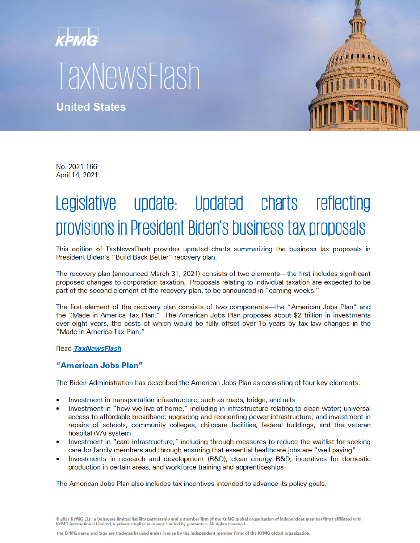# kpmg **TaxNewsFlash**

**United States** 



No. 2021-166 April 14, 2021

# Legislative update: Updated charts reflecting provisions in President Biden's business tax proposals

This edition of TaxNewsFlash provides updated charts summarizing the business tax proposals in President Biden's "Build Back Better" recovery plan.

The recovery plan (announced March 31, 2021) consists of two elements—the first includes significant proposed changes to corporation taxation. Proposals relating to individual taxation are expected to be part of the second element of the recovery plan, to be announced in "coming weeks."

The first element of the recovery plan consists of two components—the "American Jobs Plan" and the "Made in America Tax Plan." The American Jobs Plan proposes about \$2 trillion in investments over eight years, the costs of which would be fully offset over 15 years by tax law changes in the "Made in America Tax Plan."

#### Read TaxNewsFlash

## "American Jobs Plan"

The Biden Administration has described the American Jobs Plan as consisting of four key elements:

- Investment in transportation infrastructure, such as roads, bridge, and rails
- Investment in "how we live at home," including in infrastructure relating to clean water; universal access to affordable broadband; upgrading and reorienting power infrastructure; and investment in repairs of schools, community colleges, childcare facilities, federal buildings, and the veteran hospital (VA) system
- Investment in "care infrastructure," including through measures to reduce the waitlist for seeking care for family members and through ensuring that essential healthcare jobs are "well paying"
- Investments in research and development (R&D), clean energy R&D, incentives for domestic production in certain areas, and workforce training and apprenticeships

The American Jobs Plan also includes tax incentives intended to advance its policy goals.

© 2021 KPMG LLP, a Delaware limited liability partnership and a member firm of the KPMG global organization of independent member firms affiliated with<br>KPMG International Limited, a private English company limited by guara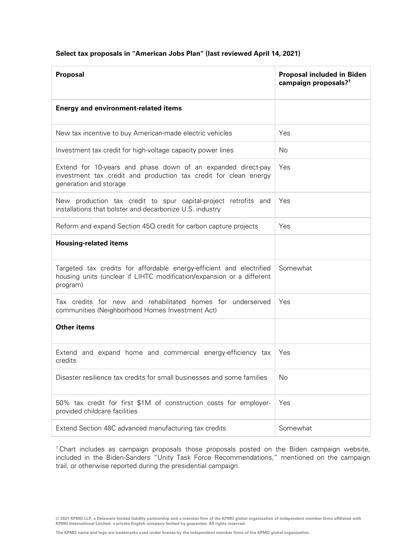### **Select tax proposals in "American Jobs Plan" (last reviewed April 14, 2021)**

| Proposal                                                                                                                                                   | Proposal included in Biden<br>campaign proposals? <sup>1</sup> |
|------------------------------------------------------------------------------------------------------------------------------------------------------------|----------------------------------------------------------------|
| <b>Energy and environment-related items</b>                                                                                                                |                                                                |
| New tax incentive to buy American-made electric vehicles                                                                                                   | Yes                                                            |
| Investment tax credit for high-voltage capacity power lines                                                                                                | No.                                                            |
| Extend for 10-years and phase down of an expanded direct-pay<br>investment tax credit and production tax credit for clean energy<br>generation and storage | Yes                                                            |
| New production tax credit to spur capital-project retrofits and<br>installations that bolster and decarbonize U.S. industry                                | Yes                                                            |
| Reform and expand Section 45Q credit for carbon capture projects                                                                                           | Yes                                                            |
| <b>Housing-related items</b>                                                                                                                               |                                                                |
| Targeted tax credits for affordable energy-efficient and electrified<br>housing units (unclear if LIHTC modification/expansion or a different<br>program)  | Somewhat                                                       |
| Tax credits for new and rehabilitated homes for underserved<br>communities (Neighborhood Homes Investment Act)                                             | Yes                                                            |
| <b>Other items</b>                                                                                                                                         |                                                                |
| Extend and expand home and commercial energy-efficiency tax<br>credits                                                                                     | Yes                                                            |
| Disaster resilience tax credits for small businesses and some families                                                                                     | No                                                             |
| 50% tax credit for first \$1M of construction costs for employer-<br>provided childcare facilities                                                         | Yes                                                            |
| Extend Section 48C advanced manufacturing tax credits                                                                                                      | Somewhat                                                       |

<sup>1</sup> Chart includes as campaign proposals those proposals posted on the Biden campaign website, included in the Biden-Sanders "Unity Task Force Recommendations," mentioned on the campaign trail, or otherwise reported during the presidential campaign.

© 2021 KPMG LLP, a Delaware limited liability partnership and a member firm of the KPMG global organization of independent member firms affiliated with<br>KPMG International Limited, a private English company limited by guara

**The KPMG name and logo are trademarks used under license by the independent member firms of the KPMG global organization.**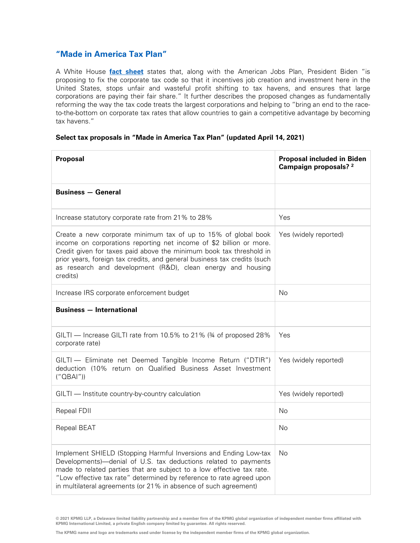# **"Made in America Tax Plan"**

A White House **[fact sheet](https://www.whitehouse.gov/briefing-room/statements-releases/2021/03/31/fact-sheet-the-american-jobs-plan/)** states that, along with the American Jobs Plan, President Biden "is proposing to fix the corporate tax code so that it incentives job creation and investment here in the United States, stops unfair and wasteful profit shifting to tax havens, and ensures that large corporations are paying their fair share." It further describes the proposed changes as fundamentally reforming the way the tax code treats the largest corporations and helping to "bring an end to the raceto-the-bottom on corporate tax rates that allow countries to gain a competitive advantage by becoming tax havens."

#### **Select tax proposals in "Made in America Tax Plan" (updated April 14, 2021)**

| Proposal                                                                                                                                                                                                                                                                                                                                                            | <b>Proposal included in Biden</b><br>Campaign proposals? 2 |
|---------------------------------------------------------------------------------------------------------------------------------------------------------------------------------------------------------------------------------------------------------------------------------------------------------------------------------------------------------------------|------------------------------------------------------------|
| <b>Business - General</b>                                                                                                                                                                                                                                                                                                                                           |                                                            |
| Increase statutory corporate rate from 21% to 28%                                                                                                                                                                                                                                                                                                                   | Yes                                                        |
| Create a new corporate minimum tax of up to 15% of global book<br>income on corporations reporting net income of \$2 billion or more.<br>Credit given for taxes paid above the minimum book tax threshold in<br>prior years, foreign tax credits, and general business tax credits (such<br>as research and development (R&D), clean energy and housing<br>credits) | Yes (widely reported)                                      |
| Increase IRS corporate enforcement budget                                                                                                                                                                                                                                                                                                                           | No                                                         |
| <b>Business - International</b>                                                                                                                                                                                                                                                                                                                                     |                                                            |
| GILTI - Increase GILTI rate from 10.5% to 21% (34 of proposed 28%<br>corporate rate)                                                                                                                                                                                                                                                                                | Yes                                                        |
| GILTI - Eliminate net Deemed Tangible Income Return ("DTIR")<br>deduction (10% return on Qualified Business Asset Investment<br>(''OBAI'')                                                                                                                                                                                                                          | Yes (widely reported)                                      |
| GILTI - Institute country-by-country calculation                                                                                                                                                                                                                                                                                                                    | Yes (widely reported)                                      |
| Repeal FDII                                                                                                                                                                                                                                                                                                                                                         | No                                                         |
| Repeal BEAT                                                                                                                                                                                                                                                                                                                                                         | No                                                         |
| Implement SHIELD (Stopping Harmful Inversions and Ending Low-tax<br>Developments)-denial of U.S. tax deductions related to payments<br>made to related parties that are subject to a low effective tax rate.<br>"Low effective tax rate" determined by reference to rate agreed upon<br>in multilateral agreements (or 21% in absence of such agreement)            | No                                                         |

**© 2021 KPMG LLP, a Delaware limited liability partnership and a member firm of the KPMG global organization of independent member firms affiliated with KPMG International Limited, a private English company limited by guarantee. All rights reserved.**

**The KPMG name and logo are trademarks used under license by the independent member firms of the KPMG global organization.**